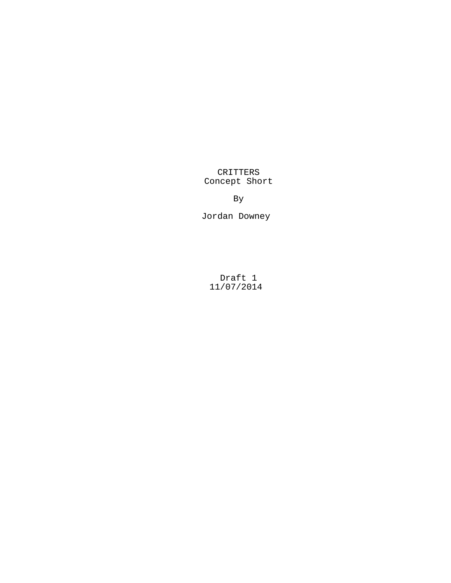CRITTERS Concept Short

By

Jordan Downey

Draft 1 11/07/2014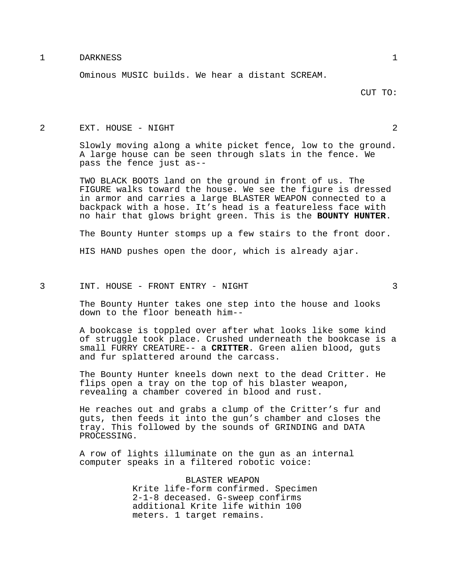## 1 DARKNESS 1

Ominous MUSIC builds. We hear a distant SCREAM.

## 2 EXT. HOUSE - NIGHT 2

Slowly moving along a white picket fence, low to the ground. A large house can be seen through slats in the fence. We pass the fence just as--

TWO BLACK BOOTS land on the ground in front of us. The FIGURE walks toward the house. We see the figure is dressed in armor and carries a large BLASTER WEAPON connected to a backpack with a hose. It's head is a featureless face with no hair that glows bright green. This is the **BOUNTY HUNTER**.

The Bounty Hunter stomps up a few stairs to the front door.

HIS HAND pushes open the door, which is already ajar.

### 3 INT. HOUSE - FRONT ENTRY - NIGHT 3

The Bounty Hunter takes one step into the house and looks down to the floor beneath him--

A bookcase is toppled over after what looks like some kind of struggle took place. Crushed underneath the bookcase is a small FURRY CREATURE-- a **CRITTER**. Green alien blood, guts and fur splattered around the carcass.

The Bounty Hunter kneels down next to the dead Critter. He flips open a tray on the top of his blaster weapon, revealing a chamber covered in blood and rust.

He reaches out and grabs a clump of the Critter's fur and guts, then feeds it into the gun's chamber and closes the tray. This followed by the sounds of GRINDING and DATA PROCESSING.

A row of lights illuminate on the gun as an internal computer speaks in a filtered robotic voice:

> BLASTER WEAPON Krite life-form confirmed. Specimen 2-1-8 deceased. G-sweep confirms additional Krite life within 100 meters. 1 target remains.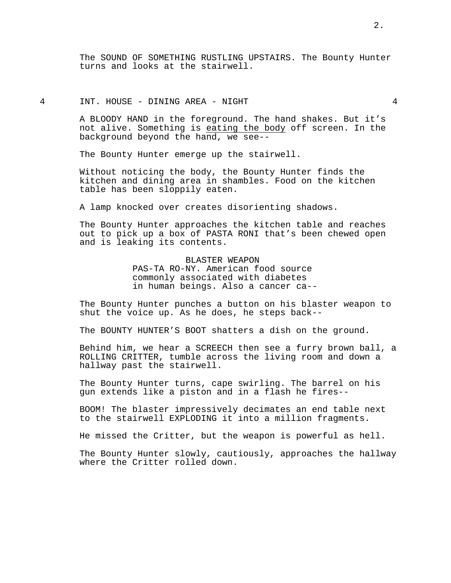The SOUND OF SOMETHING RUSTLING UPSTAIRS. The Bounty Hunter turns and looks at the stairwell.

# 4 INT. HOUSE - DINING AREA - NIGHT 4

A BLOODY HAND in the foreground. The hand shakes. But it's not alive. Something is eating the body off screen. In the background beyond the hand, we see--

The Bounty Hunter emerge up the stairwell.

Without noticing the body, the Bounty Hunter finds the kitchen and dining area in shambles. Food on the kitchen table has been sloppily eaten.

A lamp knocked over creates disorienting shadows.

The Bounty Hunter approaches the kitchen table and reaches out to pick up a box of PASTA RONI that's been chewed open and is leaking its contents.

> BLASTER WEAPON PAS-TA RO-NY. American food source commonly associated with diabetes in human beings. Also a cancer ca--

The Bounty Hunter punches a button on his blaster weapon to shut the voice up. As he does, he steps back--

The BOUNTY HUNTER'S BOOT shatters a dish on the ground.

Behind him, we hear a SCREECH then see a furry brown ball, a ROLLING CRITTER, tumble across the living room and down a hallway past the stairwell.

The Bounty Hunter turns, cape swirling. The barrel on his gun extends like a piston and in a flash he fires--

BOOM! The blaster impressively decimates an end table next to the stairwell EXPLODING it into a million fragments.

He missed the Critter, but the weapon is powerful as hell.

The Bounty Hunter slowly, cautiously, approaches the hallway where the Critter rolled down.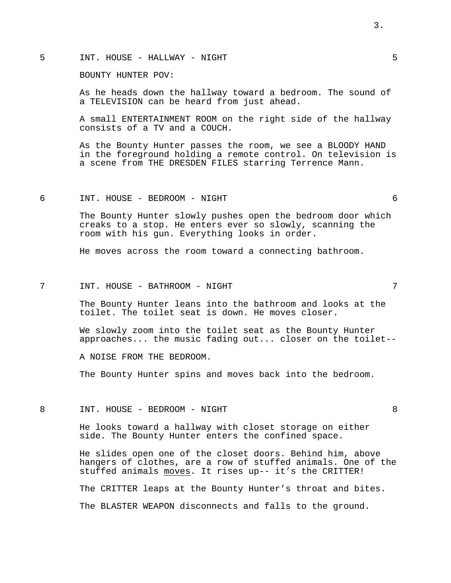# 5 INT. HOUSE - HALLWAY - NIGHT 5

BOUNTY HUNTER POV:

As he heads down the hallway toward a bedroom. The sound of a TELEVISION can be heard from just ahead.

A small ENTERTAINMENT ROOM on the right side of the hallway consists of a TV and a COUCH.

As the Bounty Hunter passes the room, we see a BLOODY HAND in the foreground holding a remote control. On television is a scene from THE DRESDEN FILES starring Terrence Mann.

## 6 INT. HOUSE - BEDROOM - NIGHT 6

The Bounty Hunter slowly pushes open the bedroom door which creaks to a stop. He enters ever so slowly, scanning the room with his gun. Everything looks in order.

He moves across the room toward a connecting bathroom.

### 7 INT. HOUSE - BATHROOM - NIGHT 7

The Bounty Hunter leans into the bathroom and looks at the toilet. The toilet seat is down. He moves closer.

We slowly zoom into the toilet seat as the Bounty Hunter approaches... the music fading out... closer on the toilet--

A NOISE FROM THE BEDROOM.

The Bounty Hunter spins and moves back into the bedroom.

8 INT. HOUSE - BEDROOM - NIGHT 8

He looks toward a hallway with closet storage on either side. The Bounty Hunter enters the confined space.

He slides open one of the closet doors. Behind him, above hangers of clothes, are a row of stuffed animals. One of the stuffed animals moves. It rises up-- it's the CRITTER!

The CRITTER leaps at the Bounty Hunter's throat and bites.

The BLASTER WEAPON disconnects and falls to the ground.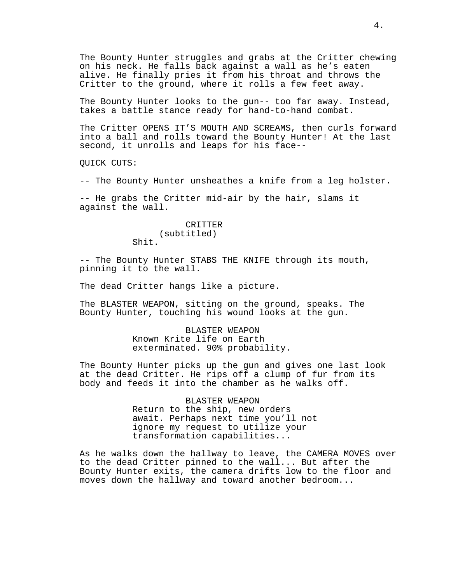The Bounty Hunter struggles and grabs at the Critter chewing on his neck. He falls back against a wall as he's eaten alive. He finally pries it from his throat and throws the Critter to the ground, where it rolls a few feet away.

The Bounty Hunter looks to the gun-- too far away. Instead, takes a battle stance ready for hand-to-hand combat.

The Critter OPENS IT'S MOUTH AND SCREAMS, then curls forward into a ball and rolls toward the Bounty Hunter! At the last second, it unrolls and leaps for his face--

QUICK CUTS:

-- The Bounty Hunter unsheathes a knife from a leg holster.

-- He grabs the Critter mid-air by the hair, slams it against the wall.

# CRITTER (subtitled)

Shit.

-- The Bounty Hunter STABS THE KNIFE through its mouth, pinning it to the wall.

The dead Critter hangs like a picture.

The BLASTER WEAPON, sitting on the ground, speaks. The Bounty Hunter, touching his wound looks at the gun.

> BLASTER WEAPON Known Krite life on Earth exterminated. 90% probability.

The Bounty Hunter picks up the gun and gives one last look at the dead Critter. He rips off a clump of fur from its body and feeds it into the chamber as he walks off.

> BLASTER WEAPON Return to the ship, new orders await. Perhaps next time you'll not ignore my request to utilize your transformation capabilities...

As he walks down the hallway to leave, the CAMERA MOVES over to the dead Critter pinned to the wall... But after the Bounty Hunter exits, the camera drifts low to the floor and moves down the hallway and toward another bedroom...